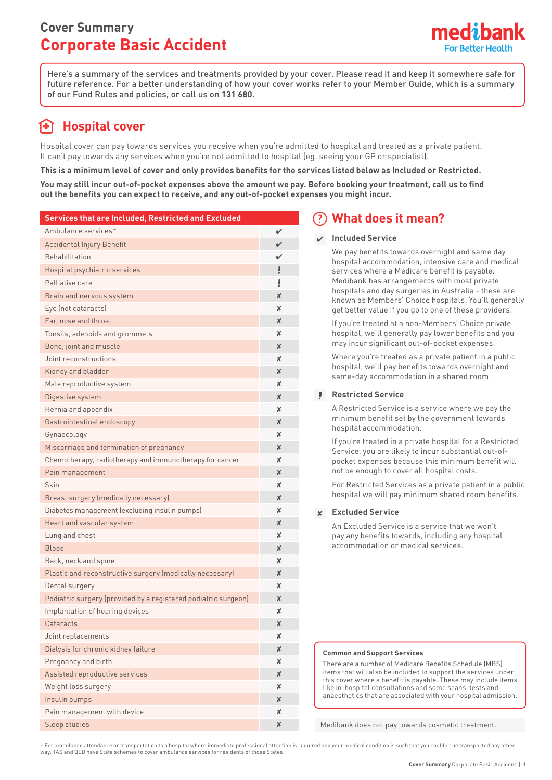# **Cover Summary Corporate Basic Accident**



Here's a summary of the services and treatments provided by your cover. Please read it and keep it somewhere safe for future reference. For a better understanding of how your cover works refer to your Member Guide, which is a summary of our Fund Rules and policies, or call us on **131 680.**

# **Hospital cover**

Hospital cover can pay towards services you receive when you're admitted to hospital and treated as a private patient. It can't pay towards any services when you're not admitted to hospital (eg. seeing your GP or specialist).

**This is a minimum level of cover and only provides benefits for the services listed below as Included or Restricted.**

**You may still incur out-of-pocket expenses above the amount we pay. Before booking your treatment, call us to find out the benefits you can expect to receive, and any out-of-pocket expenses you might incur.**

| Services that are Included, Restricted and Excluded            |                           |
|----------------------------------------------------------------|---------------------------|
| Ambulance services~                                            | ✓                         |
| <b>Accidental Injury Benefit</b>                               | V                         |
| Rehabilitation                                                 | V                         |
| Hospital psychiatric services                                  | Ţ                         |
| Palliative care                                                | Ţ                         |
| Brain and nervous system                                       | X                         |
| Eye (not cataracts)                                            | ×                         |
| Ear, nose and throat                                           | X                         |
| Tonsils, adenoids and grommets                                 | x                         |
| Bone, joint and muscle                                         | X                         |
| Joint reconstructions                                          | x                         |
| Kidney and bladder                                             | $\boldsymbol{\mathsf{x}}$ |
| Male reproductive system                                       | ×                         |
| Digestive system                                               | $\boldsymbol{\mathsf{x}}$ |
| Hernia and appendix                                            | ×                         |
| Gastrointestinal endoscopy                                     | $\boldsymbol{\mathsf{x}}$ |
| Gynaecology                                                    | ×                         |
| Miscarriage and termination of pregnancy                       | $\boldsymbol{\mathsf{x}}$ |
| Chemotherapy, radiotherapy and immunotherapy for cancer        | x                         |
| Pain management                                                | X                         |
| Skin                                                           | x                         |
| Breast surgery (medically necessary)                           | $\boldsymbol{\mathsf{x}}$ |
| Diabetes management (excluding insulin pumps)                  | x                         |
| Heart and vascular system                                      | X                         |
| Lung and chest                                                 | x                         |
| <b>Blood</b>                                                   | $\boldsymbol{\mathsf{x}}$ |
| Back, neck and spine                                           | ×                         |
| Plastic and reconstructive surgery (medically necessary)       | x                         |
| Dental surgery                                                 | ×                         |
| Podiatric surgery (provided by a registered podiatric surgeon) | $\boldsymbol{\mathsf{x}}$ |
| Implantation of hearing devices                                | x                         |
| Cataracts                                                      | X                         |
| Joint replacements                                             | x                         |
| Dialysis for chronic kidney failure                            | $\boldsymbol{\mathsf{x}}$ |
| Pregnancy and birth                                            | x                         |
| Assisted reproductive services                                 | $\boldsymbol{\mathsf{x}}$ |
| Weight loss surgery                                            | x                         |
| Insulin pumps                                                  | $\boldsymbol{\mathsf{x}}$ |
| Pain management with device                                    | X                         |
| Sleep studies                                                  | X                         |

## **What does it mean?**

### **Included Service**

We pay benefits towards overnight and same day hospital accommodation, intensive care and medical services where a Medicare benefit is payable. Medibank has arrangements with most private hospitals and day surgeries in Australia - these are known as Members' Choice hospitals. You'll generally get better value if you go to one of these providers.

If you're treated at a non-Members' Choice private hospital, we'll generally pay lower benefits and you may incur significant out-of-pocket expenses.

Where you're treated as a private patient in a public hospital, we'll pay benefits towards overnight and same-day accommodation in a shared room.

### **Restricted Service**

A Restricted Service is a service where we pay the minimum benefit set by the government towards hospital accommodation.

If you're treated in a private hospital for a Restricted Service, you are likely to incur substantial out-ofpocket expenses because this minimum benefit will not be enough to cover all hospital costs.

For Restricted Services as a private patient in a public hospital we will pay minimum shared room benefits.

## **Excluded Service**

An Excluded Service is a service that we won't pay any benefits towards, including any hospital accommodation or medical services.

#### **Common and Support Services**

There are a number of Medicare Benefits Schedule (MBS) items that will also be included to support the services under this cover where a benefit is payable. These may include items like in-hospital consultations and some scans, tests and anaesthetics that are associated with your hospital admission.

Medibank does not pay towards cosmetic treatment.

~ For ambulance attendance or transportation to a hospital where immediate professional attention is required and your medical condition is such that you couldn't be transported any other way. TAS and QLD have State schemes to cover ambulance services for residents of those States.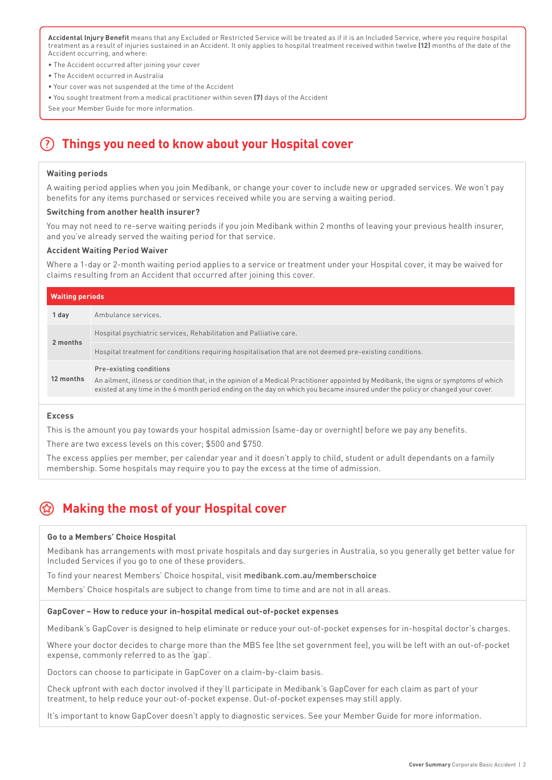**Accidental Injury Benefit** means that any Excluded or Restricted Service will be treated as if it is an Included Service, where you require hospital treatment as a result of injuries sustained in an Accident. It only applies to hospital treatment received within twelve **(12)** months of the date of the Accident occurring, and where:

- The Accident occurred after joining your cover
- The Accident occurred in Australia
- Your cover was not suspended at the time of the Accident
- You sought treatment from a medical practitioner within seven **(7)** days of the Accident

See your Member Guide for more information.

## **Things you need to know about your Hospital cover**

#### **Waiting periods**

A waiting period applies when you join Medibank, or change your cover to include new or upgraded services. We won't pay benefits for any items purchased or services received while you are serving a waiting period.

#### **Switching from another health insurer?**

You may not need to re-serve waiting periods if you join Medibank within 2 months of leaving your previous health insurer, and you've already served the waiting period for that service.

#### **Accident Waiting Period Waiver**

Where a 1-day or 2-month waiting period applies to a service or treatment under your Hospital cover, it may be waived for claims resulting from an Accident that occurred after joining this cover.

| <b>Waiting periods</b> |                                                                                                                                                                                                                                                                                                     |
|------------------------|-----------------------------------------------------------------------------------------------------------------------------------------------------------------------------------------------------------------------------------------------------------------------------------------------------|
| 1 day                  | Ambulance services.                                                                                                                                                                                                                                                                                 |
| 2 months               | Hospital psychiatric services, Rehabilitation and Palliative care.                                                                                                                                                                                                                                  |
|                        | Hospital treatment for conditions requiring hospitalisation that are not deemed pre-existing conditions.                                                                                                                                                                                            |
| 12 months              | Pre-existing conditions<br>An ailment, illness or condition that, in the opinion of a Medical Practitioner appointed by Medibank, the signs or symptoms of which<br>existed at any time in the 6 month period ending on the day on which you became insured under the policy or changed your cover. |

#### **Excess**

This is the amount you pay towards your hospital admission (same-day or overnight) before we pay any benefits.

There are two excess levels on this cover; \$500 and \$750.

The excess applies per member, per calendar year and it doesn't apply to child, student or adult dependants on a family membership. Some hospitals may require you to pay the excess at the time of admission.

## **Making the most of your Hospital cover**

#### **Go to a Members' Choice Hospital**

Medibank has arrangements with most private hospitals and day surgeries in Australia, so you generally get better value for Included Services if you go to one of these providers.

To find your nearest Members' Choice hospital, visit medibank.com.au/memberschoice

Members' Choice hospitals are subject to change from time to time and are not in all areas.

#### **GapCover – How to reduce your in-hospital medical out-of-pocket expenses**

Medibank's GapCover is designed to help eliminate or reduce your out-of-pocket expenses for in-hospital doctor's charges.

Where your doctor decides to charge more than the MBS fee (the set government fee), you will be left with an out-of-pocket expense, commonly referred to as the 'gap'.

Doctors can choose to participate in GapCover on a claim-by-claim basis.

Check upfront with each doctor involved if they'll participate in Medibank's GapCover for each claim as part of your treatment, to help reduce your out-of-pocket expense. Out-of-pocket expenses may still apply.

It's important to know GapCover doesn't apply to diagnostic services. See your Member Guide for more information.